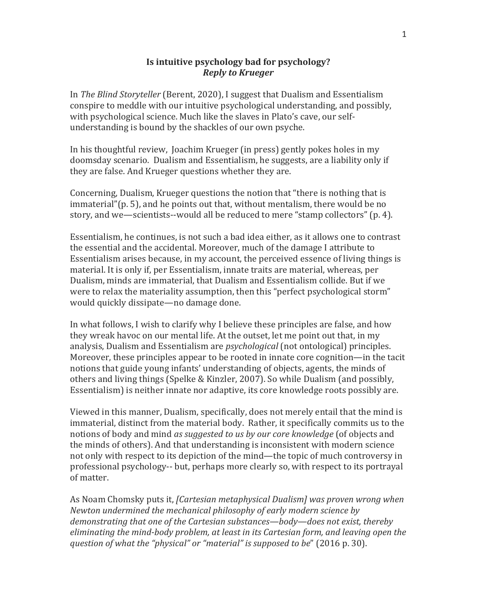## **Is intuitive psychology bad for psychology?** *Reply to Krueger*

In *The Blind Storyteller* (Berent, 2020), I suggest that Dualism and Essentialism conspire to meddle with our intuitive psychological understanding, and possibly, with psychological science. Much like the slaves in Plato's cave, our selfunderstanding is bound by the shackles of our own psyche.

In his thoughtful review, Joachim Krueger (in press) gently pokes holes in my doomsday scenario. Dualism and Essentialism, he suggests, are a liability only if they are false. And Krueger questions whether they are.

Concerning, Dualism, Krueger questions the notion that "there is nothing that is  $immaterial''(p. 5)$ , and he points out that, without mentalism, there would be no story, and we—scientists--would all be reduced to mere "stamp collectors" (p. 4).

Essentialism, he continues, is not such a bad idea either, as it allows one to contrast the essential and the accidental. Moreover, much of the damage I attribute to Essentialism arises because, in my account, the perceived essence of living things is material. It is only if, per Essentialism, innate traits are material, whereas, per Dualism, minds are immaterial, that Dualism and Essentialism collide. But if we were to relax the materiality assumption, then this "perfect psychological storm" would quickly dissipate—no damage done.

In what follows, I wish to clarify why I believe these principles are false, and how they wreak havoc on our mental life. At the outset, let me point out that, in my analysis, Dualism and Essentialism are *psychological* (not ontological) principles. Moreover, these principles appear to be rooted in innate core cognition—in the tacit notions that guide young infants' understanding of objects, agents, the minds of others and living things (Spelke & Kinzler, 2007). So while Dualism (and possibly, Essentialism) is neither innate nor adaptive, its core knowledge roots possibly are.

Viewed in this manner, Dualism, specifically, does not merely entail that the mind is immaterial, distinct from the material body. Rather, it specifically commits us to the notions of body and mind *as suggested to us by our core knowledge* (of objects and the minds of others). And that understanding is inconsistent with modern science not only with respect to its depiction of the mind—the topic of much controversy in professional psychology-- but, perhaps more clearly so, with respect to its portrayal of matter.

As Noam Chomsky puts it, *[Cartesian metaphysical Dualism]* was proven wrong when *Newton undermined the mechanical philosophy of early modern science by demonstrating that one of the Cartesian substances—body—does not exist, thereby eliminating the mind-body problem, at least in its Cartesian form, and leaving open the question of what the "physical" or "material" is supposed to be"* (2016 p. 30).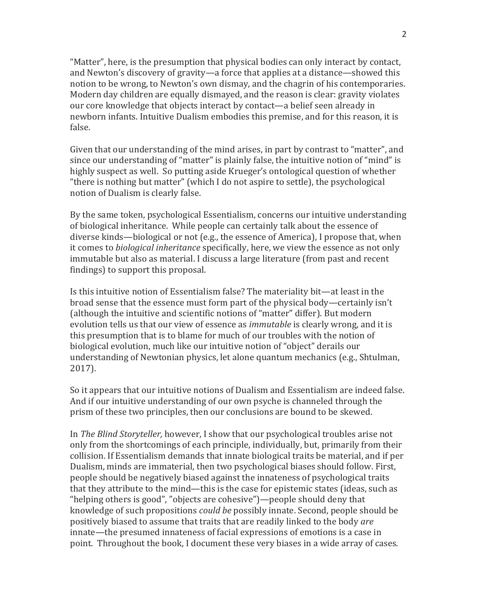"Matter", here, is the presumption that physical bodies can only interact by contact, and Newton's discovery of gravity—a force that applies at a distance—showed this notion to be wrong, to Newton's own dismay, and the chagrin of his contemporaries. Modern day children are equally dismayed, and the reason is clear: gravity violates our core knowledge that objects interact by contact—a belief seen already in newborn infants. Intuitive Dualism embodies this premise, and for this reason, it is false. 

Given that our understanding of the mind arises, in part by contrast to "matter", and since our understanding of "matter" is plainly false, the intuitive notion of "mind" is highly suspect as well. So putting aside Krueger's ontological question of whether "there is nothing but matter" (which I do not aspire to settle), the psychological notion of Dualism is clearly false.

By the same token, psychological Essentialism, concerns our intuitive understanding of biological inheritance. While people can certainly talk about the essence of diverse kinds—biological or not (e.g., the essence of America), I propose that, when it comes to *biological inheritance* specifically, here, we view the essence as not only immutable but also as material. I discuss a large literature (from past and recent findings) to support this proposal.

Is this intuitive notion of Essentialism false? The materiality bit—at least in the broad sense that the essence must form part of the physical body—certainly isn't (although the intuitive and scientific notions of "matter" differ). But modern evolution tells us that our view of essence as *immutable* is clearly wrong, and it is this presumption that is to blame for much of our troubles with the notion of biological evolution, much like our intuitive notion of "object" derails our understanding of Newtonian physics, let alone quantum mechanics (e.g., Shtulman, 2017).

So it appears that our intuitive notions of Dualism and Essentialism are indeed false. And if our intuitive understanding of our own psyche is channeled through the prism of these two principles, then our conclusions are bound to be skewed.

In *The Blind Storyteller,* however, I show that our psychological troubles arise not only from the shortcomings of each principle, individually, but, primarily from their collision. If Essentialism demands that innate biological traits be material, and if per Dualism, minds are immaterial, then two psychological biases should follow. First, people should be negatively biased against the innateness of psychological traits that they attribute to the mind—this is the case for epistemic states (ideas, such as "helping others is good", "objects are cohesive")—people should deny that knowledge of such propositions *could be* possibly innate. Second, people should be positively biased to assume that traits that are readily linked to the body *are* innate—the presumed innateness of facial expressions of emotions is a case in point. Throughout the book, I document these very biases in a wide array of cases.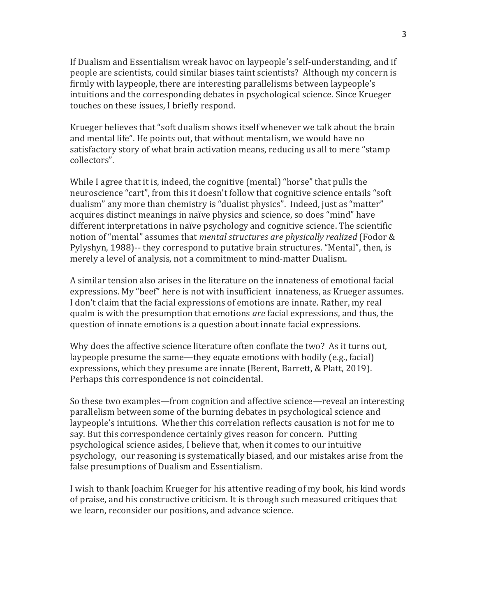If Dualism and Essentialism wreak havoc on laypeople's self-understanding, and if people are scientists, could similar biases taint scientists? Although my concern is firmly with laypeople, there are interesting parallelisms between laypeople's intuitions and the corresponding debates in psychological science. Since Krueger touches on these issues, I briefly respond.

Krueger believes that "soft dualism shows itself whenever we talk about the brain and mental life". He points out, that without mentalism, we would have no satisfactory story of what brain activation means, reducing us all to mere "stamp collectors". 

While I agree that it is, indeed, the cognitive (mental) "horse" that pulls the neuroscience "cart", from this it doesn't follow that cognitive science entails "soft dualism" any more than chemistry is "dualist physics". Indeed, just as "matter" acquires distinct meanings in naïve physics and science, so does "mind" have different interpretations in naïve psychology and cognitive science. The scientific notion of "mental" assumes that *mental structures are physically realized* (Fodor & Pylyshyn, 1988)-- they correspond to putative brain structures. "Mental", then, is merely a level of analysis, not a commitment to mind-matter Dualism.

A similar tension also arises in the literature on the innateness of emotional facial expressions. My "beef" here is not with insufficient innateness, as Krueger assumes. I don't claim that the facial expressions of emotions are innate. Rather, my real qualm is with the presumption that emotions *are* facial expressions, and thus, the question of innate emotions is a question about innate facial expressions.

Why does the affective science literature often conflate the two? As it turns out, laypeople presume the same—they equate emotions with bodily  $(e.g., facial)$ expressions, which they presume are innate (Berent, Barrett, & Platt, 2019). Perhaps this correspondence is not coincidental.

So these two examples—from cognition and affective science—reveal an interesting parallelism between some of the burning debates in psychological science and laypeople's intuitions. Whether this correlation reflects causation is not for me to say. But this correspondence certainly gives reason for concern. Putting psychological science asides, I believe that, when it comes to our intuitive psychology, our reasoning is systematically biased, and our mistakes arise from the false presumptions of Dualism and Essentialism.

I wish to thank Ioachim Krueger for his attentive reading of my book, his kind words of praise, and his constructive criticism. It is through such measured critiques that we learn, reconsider our positions, and advance science.